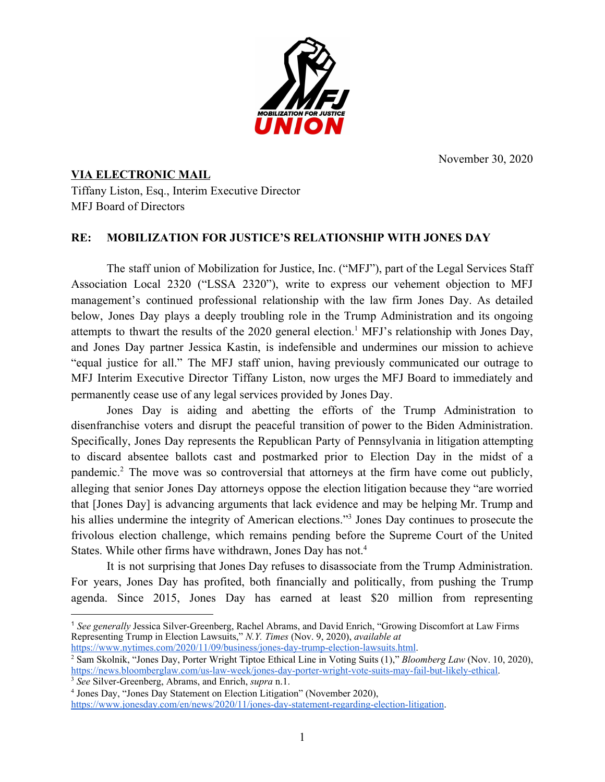November 30, 2020



## **VIA ELECTRONIC MAIL** Tiffany Liston, Esq., Interim Executive Director

MFJ Board of Directors

## **RE: MOBILIZATION FOR JUSTICE'S RELATIONSHIP WITH JONES DAY**

The staff union of Mobilization for Justice, Inc. ("MFJ"), part of the Legal Services Staff Association Local 2320 ("LSSA 2320"), write to express our vehement objection to MFJ management's continued professional relationship with the law firm Jones Day. As detailed below, Jones Day plays a deeply troubling role in the Trump Administration and its ongoing attempts to thwart the results of the  $2020$  general election.<sup>1</sup> MFJ's relationship with Jones Day, and Jones Day partner Jessica Kastin, is indefensible and undermines our mission to achieve "equal justice for all." The MFJ staff union, having previously communicated our outrage to MFJ Interim Executive Director Tiffany Liston, now urges the MFJ Board to immediately and permanently cease use of any legal services provided by Jones Day.

Jones Day is aiding and abetting the efforts of the Trump Administration to disenfranchise voters and disrupt the peaceful transition of power to the Biden Administration. Specifically, Jones Day represents the Republican Party of Pennsylvania in litigation attempting to discard absentee ballots cast and postmarked prior to Election Day in the midst of a pandemic.<sup>2</sup> The move was so controversial that attorneys at the firm have come out publicly, alleging that senior Jones Day attorneys oppose the election litigation because they "are worried that [Jones Day] is advancing arguments that lack evidence and may be helping Mr. Trump and his allies undermine the integrity of American elections."<sup>3</sup> Jones Day continues to prosecute the frivolous election challenge, which remains pending before the Supreme Court of the United States. While other firms have withdrawn, Jones Day has not.<sup>4</sup>

It is not surprising that Jones Day refuses to disassociate from the Trump Administration. For years, Jones Day has profited, both financially and politically, from pushing the Trump agenda. Since 2015, Jones Day has earned at least \$20 million from representing

<sup>1</sup> *See generally* Jessica Silver-Greenberg, Rachel Abrams, and David Enrich, "Growing Discomfort at Law Firms Representing Trump in Election Lawsuits," *N.Y. Times* (Nov. 9, 2020), *available at*

[https://www.nytimes.com/2020/11/09/business/jones-day-trump-election-lawsuits.html.](https://www.nytimes.com/2020/11/09/business/jones-day-trump-election-lawsuits.html)

<sup>2</sup> Sam Skolnik, "Jones Day, Porter Wright Tiptoe Ethical Line in Voting Suits (1)," *Bloomberg Law* (Nov. 10, 2020), [https://news.bloomberglaw.com/us-law-week/jones-day-porter-wright-vote-suits-may-fail-but-likely-ethical.](https://news.bloomberglaw.com/us-law-week/jones-day-porter-wright-vote-suits-may-fail-but-likely-ethical) <sup>3</sup> *See* Silver-Greenberg, Abrams, and Enrich, *supra* n.1.

<sup>4</sup> Jones Day, "Jones Day Statement on Election Litigation" (November 2020),

<https://www.jonesday.com/en/news/2020/11/jones-day-statement-regarding-election-litigation>.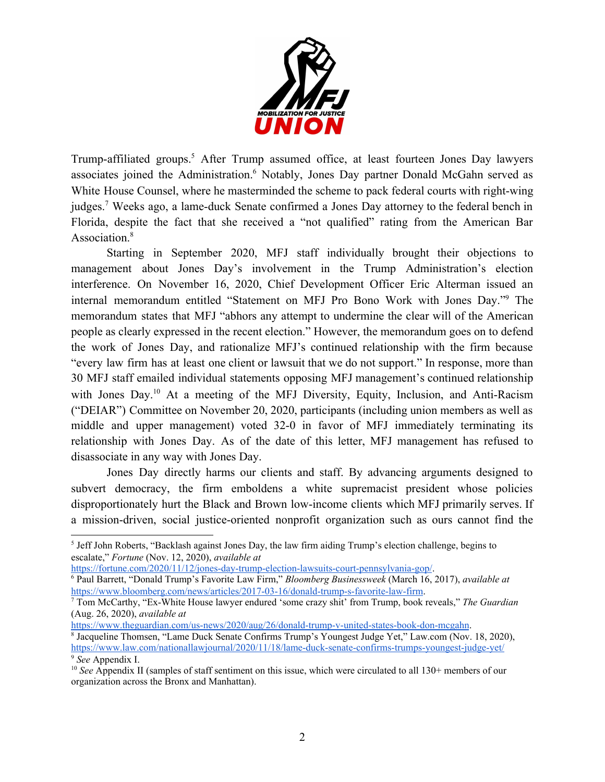

Trump-affiliated groups.<sup>5</sup> After Trump assumed office, at least fourteen Jones Day lawyers associates joined the Administration.<sup>6</sup> Notably, Jones Day partner Donald McGahn served as White House Counsel, where he masterminded the scheme to pack federal courts with right-wing judges.<sup>7</sup> Weeks ago, a lame-duck Senate confirmed a Jones Day attorney to the federal bench in Florida, despite the fact that she received a "not qualified" rating from the American Bar Association.<sup>8</sup>

Starting in September 2020, MFJ staff individually brought their objections to management about Jones Day's involvement in the Trump Administration's election interference. On November 16, 2020, Chief Development Officer Eric Alterman issued an internal memorandum entitled "Statement on MFJ Pro Bono Work with Jones Day."<sup>9</sup> The memorandum states that MFJ "abhors any attempt to undermine the clear will of the American people as clearly expressed in the recent election." However, the memorandum goes on to defend the work of Jones Day, and rationalize MFJ's continued relationship with the firm because "every law firm has at least one client or lawsuit that we do not support." In response, more than 30 MFJ staff emailed individual statements opposing MFJ management's continued relationship with Jones Day.<sup>10</sup> At a meeting of the MFJ Diversity, Equity, Inclusion, and Anti-Racism ("DEIAR") Committee on November 20, 2020, participants (including union members as well as middle and upper management) voted 32-0 in favor of MFJ immediately terminating its relationship with Jones Day. As of the date of this letter, MFJ management has refused to disassociate in any way with Jones Day.

Jones Day directly harms our clients and staff. By advancing arguments designed to subvert democracy, the firm emboldens a white supremacist president whose policies disproportionately hurt the Black and Brown low-income clients which MFJ primarily serves. If a mission-driven, social justice-oriented nonprofit organization such as ours cannot find the

<https://fortune.com/2020/11/12/jones-day-trump-election-lawsuits-court-pennsylvania-gop/>.

<https://www.theguardian.com/us-news/2020/aug/26/donald-trump-v-united-states-book-don-mcgahn>.

<sup>8</sup> Jacqueline Thomsen, "Lame Duck Senate Confirms Trump's Youngest Judge Yet," Law.com (Nov. 18, 2020), <https://www.law.com/nationallawjournal/2020/11/18/lame-duck-senate-confirms-trumps-youngest-judge-yet/> <sup>9</sup> *See* Appendix I.

<sup>5</sup> Jeff John Roberts, "Backlash against Jones Day, the law firm aiding Trump's election challenge, begins to escalate," *Fortune* (Nov. 12, 2020), *available at*

<sup>6</sup> Paul Barrett, "Donald Trump's Favorite Law Firm," *Bloomberg Businessweek* (March 16, 2017), *available at* <https://www.bloomberg.com/news/articles/2017-03-16/donald-trump-s-favorite-law-firm>.

<sup>7</sup> Tom McCarthy, "Ex-White House lawyer endured 'some crazy shit' from Trump, book reveals," *The Guardian* (Aug. 26, 2020), *available at*

<sup>&</sup>lt;sup>10</sup> See Appendix II (samples of staff sentiment on this issue, which were circulated to all 130+ members of our organization across the Bronx and Manhattan).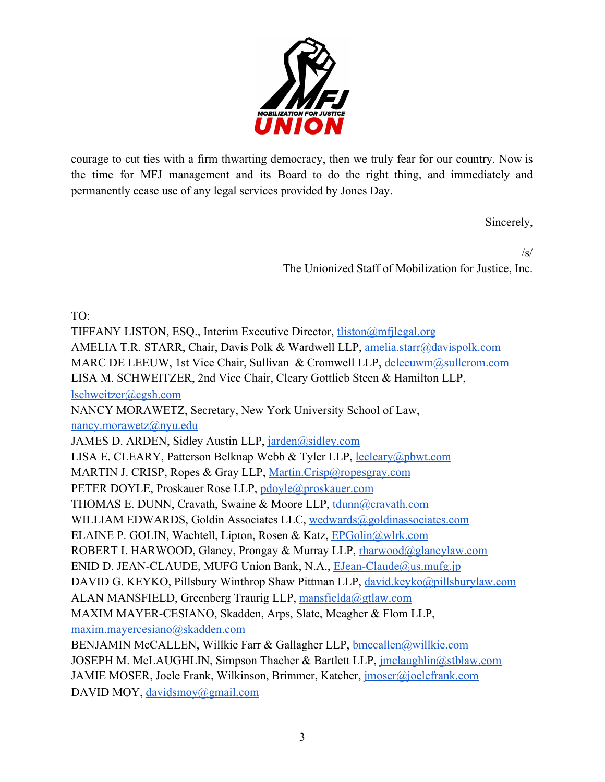

courage to cut ties with a firm thwarting democracy, then we truly fear for our country. Now is the time for MFJ management and its Board to do the right thing, and immediately and permanently cease use of any legal services provided by Jones Day.

Sincerely,

 $\sqrt{s}$ The Unionized Staff of Mobilization for Justice, Inc.

TO:

TIFFANY LISTON, ESQ., Interim Executive Director, [tliston@mfjlegal.org](mailto:tliston@mfjlegal.org) AMELIA T.R. STARR, Chair, Davis Polk & Wardwell LLP, [amelia.starr@davispolk.com](mailto:amelia.starr@davispolk.com) MARC DE LEEUW, 1st Vice Chair, Sullivan & Cromwell LLP, [deleeuwm@sullcrom.com](mailto:deleeuwm@sullcrom.com) LISA M. SCHWEITZER, 2nd Vice Chair, Cleary Gottlieb Steen & Hamilton LLP, [lschweitzer@cgsh.com](mailto:lschweitzer@cgsh.com) NANCY MORAWETZ, Secretary, New York University School of Law, [nancy.morawetz@nyu.edu](mailto:nancy.morawetz@nyu.edu) JAMES D. ARDEN, Sidley Austin LLP, [jarden@sidley.com](mailto:JARDEN@SIDLEY.COM) LISA E. CLEARY, Patterson Belknap Webb & Tyler LLP, [lecleary@pbwt.com](mailto:lecleary@pbwt.com) MARTIN J. CRISP, Ropes & Gray LLP, [Martin.Crisp@ropesgray.com](mailto:Martin.Crisp@ropesgray.com) PETER DOYLE, Proskauer Rose LLP, [pdoyle@proskauer.com](mailto:pdoyle@proskauer.com) THOMAS E. DUNN, Cravath, Swaine & Moore LLP, [tdunn@cravath.com](mailto:tdunn@cravath.com) WILLIAM EDWARDS, Goldin Associates LLC, [wedwards@goldinassociates.com](mailto:wedwards@goldinassociates.com) ELAINE P. GOLIN, Wachtell, Lipton, Rosen & Katz, [EPGolin@wlrk.com](mailto:EPGolin@wlrk.com) ROBERT I. HARWOOD, Glancy, Prongay & Murray LLP, [rharwood@glancylaw.com](mailto:RHARWOOD@GLANCYLAW.COM) ENID D. JEAN-CLAUDE, MUFG Union Bank, N.A., [EJean-Claude@us.mufg.jp](mailto:EJean-Claude@us.mufg.jp) DAVID G. KEYKO, Pillsbury Winthrop Shaw Pittman LLP, [david.keyko@pillsburylaw.com](mailto:david.keyko@pillsburylaw.com) ALAN MANSFIELD, Greenberg Traurig LLP, [mansfielda@gtlaw.com](mailto:mansfielda@gtlaw.com) MAXIM MAYER-CESIANO, Skadden, Arps, Slate, Meagher & Flom LLP, [maxim.mayercesiano@skadden.com](mailto:maxim.mayercesiano@skadden.com) BENJAMIN McCALLEN, Willkie Farr & Gallagher LLP, [bmccallen@willkie.com](mailto:bmccallen@willkie.com) JOSEPH M. McLAUGHLIN, Simpson Thacher & Bartlett LLP, [jmclaughlin@stblaw.com](mailto:jmclaughlin@stblaw.com) JAMIE MOSER, Joele Frank, Wilkinson, Brimmer, Katcher, [jmoser@joelefrank.com](mailto:jmoser@joelefrank.com) DAVID MOY, [davidsmoy@gmail.com](mailto:davidsmoy@gmail.com)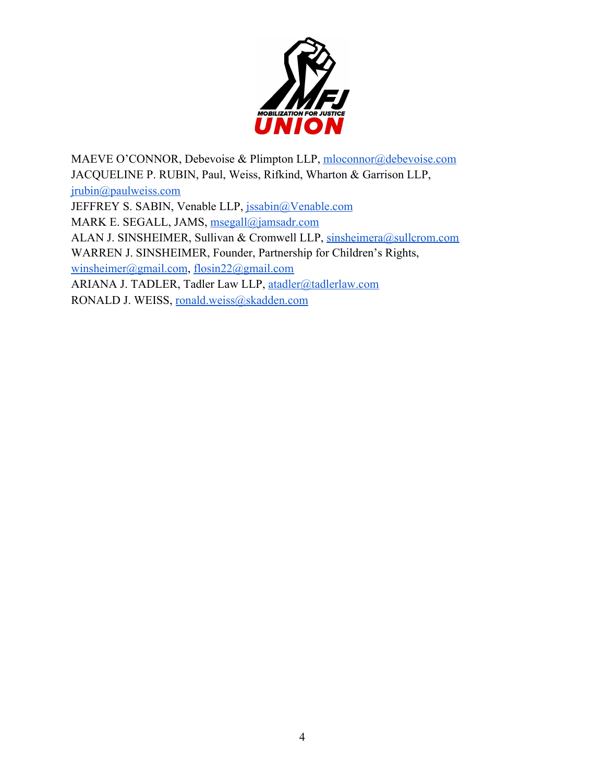

MAEVE O'CONNOR, Debevoise & Plimpton LLP, [mloconnor@debevoise.com](mailto:mloconnor@debevoise.com) JACQUELINE P. RUBIN, Paul, Weiss, Rifkind, Wharton & Garrison LLP, [jrubin@paulweiss.com](mailto:jrubin@paulweiss.com) JEFFREY S. SABIN, Venable LLP, [jssabin@Venable.com](mailto:jssabin@Venable.com) MARK E. SEGALL, JAMS, [msegall@jamsadr.com](mailto:msegall@jamsadr.com) ALAN J. SINSHEIMER, Sullivan & Cromwell LLP, [sinsheimera@sullcrom.com](mailto:sinsheimera@sullcrom.com) WARREN J. SINSHEIMER, Founder, Partnership for Children's Rights, [winsheimer@gmail.com](mailto:winsheimer@gmail.com), [flosin22@gmail.com](mailto:flosin22@gmail.com) ARIANA J. TADLER, Tadler Law LLP, [atadler@tadlerlaw.com](mailto:atadler@tadlerlaw.com) RONALD J. WEISS, [ronald.weiss@skadden.com](mailto:ronald.weiss@skadden.com)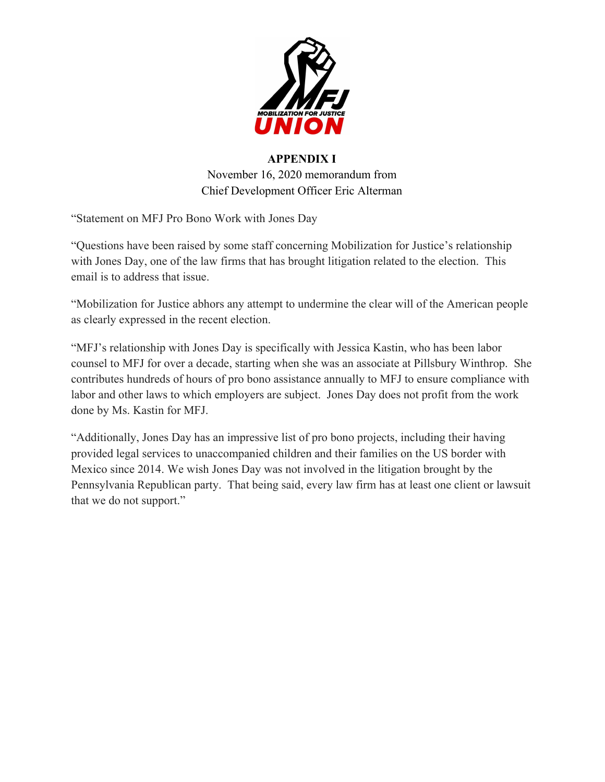

## **APPENDIX I** November 16, 2020 memorandum from Chief Development Officer Eric Alterman

"Statement on MFJ Pro Bono Work with Jones Day

"Questions have been raised by some staff concerning Mobilization for Justice's relationship with Jones Day, one of the law firms that has brought litigation related to the election. This email is to address that issue.

"Mobilization for Justice abhors any attempt to undermine the clear will of the American people as clearly expressed in the recent election.

"MFJ's relationship with Jones Day is specifically with Jessica Kastin, who has been labor counsel to MFJ for over a decade, starting when she was an associate at Pillsbury Winthrop. She contributes hundreds of hours of pro bono assistance annually to MFJ to ensure compliance with labor and other laws to which employers are subject. Jones Day does not profit from the work done by Ms. Kastin for MFJ.

"Additionally, Jones Day has an impressive list of pro bono projects, including their having provided legal services to unaccompanied children and their families on the US border with Mexico since 2014. We wish Jones Day was not involved in the litigation brought by the Pennsylvania Republican party. That being said, every law firm has at least one client or lawsuit that we do not support."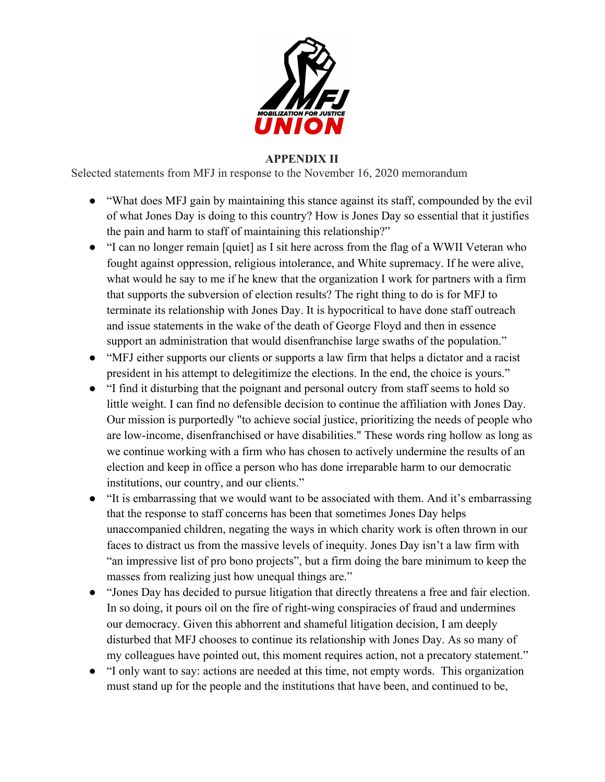

## **APPENDIX II**

Selected statements from MFJ in response to the November 16, 2020 memorandum

- "What does MFJ gain by maintaining this stance against its staff, compounded by the evil of what Jones Day is doing to this country? How is Jones Day so essential that it justifies the pain and harm to staff of maintaining this relationship?"
- "I can no longer remain [quiet] as I sit here across from the flag of a WWII Veteran who fought against oppression, religious intolerance, and White supremacy. If he were alive, what would he say to me if he knew that the organization I work for partners with a firm that supports the subversion of election results? The right thing to do is for MFJ to terminate its relationship with Jones Day. It is hypocritical to have done staff outreach and issue statements in the wake of the death of George Floyd and then in essence support an administration that would disenfranchise large swaths of the population."
- "MFJ either supports our clients or supports a law firm that helps a dictator and a racist president in his attempt to delegitimize the elections. In the end, the choice is yours."
- "I find it disturbing that the poignant and personal outcry from staff seems to hold so little weight. I can find no defensible decision to continue the affiliation with Jones Day. Our mission is purportedly "to achieve social justice, prioritizing the needs of people who are low-income, disenfranchised or have disabilities." These words ring hollow as long as we continue working with a firm who has chosen to actively undermine the results of an election and keep in office a person who has done irreparable harm to our democratic institutions, our country, and our clients."
- "It is embarrassing that we would want to be associated with them. And it's embarrassing that the response to staff concerns has been that sometimes Jones Day helps unaccompanied children, negating the ways in which charity work is often thrown in our faces to distract us from the massive levels of inequity. Jones Day isn't a law firm with "an impressive list of pro bono projects", but a firm doing the bare minimum to keep the masses from realizing just how unequal things are."
- "Jones Day has decided to pursue litigation that directly threatens a free and fair election. In so doing, it pours oil on the fire of right-wing conspiracies of fraud and undermines our democracy. Given this abhorrent and shameful litigation decision, I am deeply disturbed that MFJ chooses to continue its relationship with Jones Day. As so many of my colleagues have pointed out, this moment requires action, not a precatory statement."
- "I only want to say: actions are needed at this time, not empty words. This organization must stand up for the people and the institutions that have been, and continued to be,